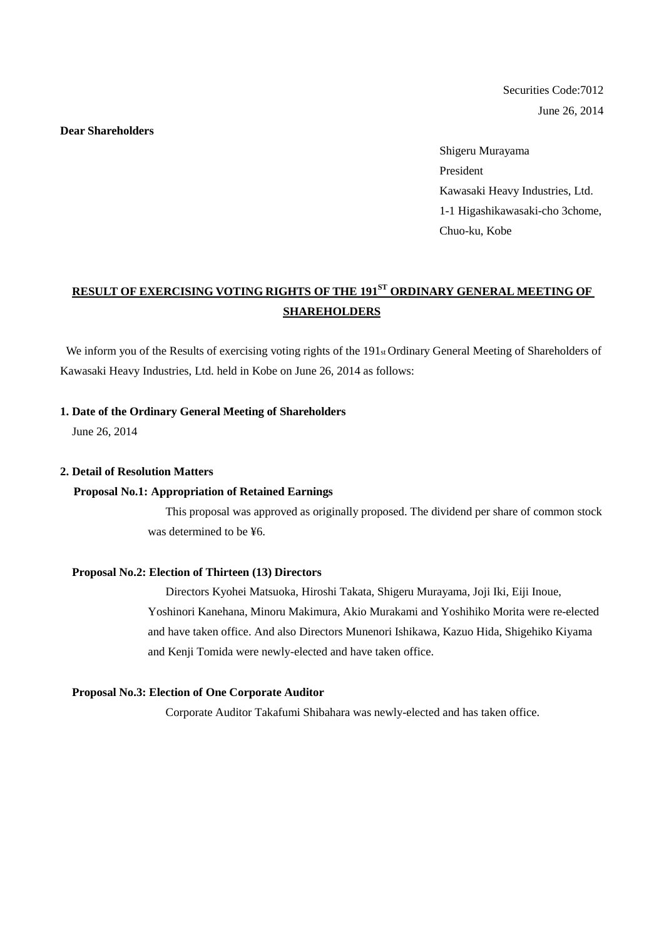Securities Code:7012 June 26, 2014

## **Dear Shareholders**

Shigeru Murayama President Kawasaki Heavy Industries, Ltd. 1-1 Higashikawasaki-cho 3chome, Chuo-ku, Kobe

# **RESULT OF EXERCISING VOTING RIGHTS OF THE 191ST ORDINARY GENERAL MEETING OF SHAREHOLDERS**

We inform you of the Results of exercising voting rights of the 191<sup>st</sup> Ordinary General Meeting of Shareholders of Kawasaki Heavy Industries, Ltd. held in Kobe on June 26, 2014 as follows:

## **1. Date of the Ordinary General Meeting of Shareholders**

June 26, 2014

#### **2. Detail of Resolution Matters**

#### **Proposal No.1: Appropriation of Retained Earnings**

This proposal was approved as originally proposed. The dividend per share of common stock was determined to be ¥6.

#### **Proposal No.2: Election of Thirteen (13) Directors**

Directors Kyohei Matsuoka, Hiroshi Takata, Shigeru Murayama, Joji Iki, Eiji Inoue, Yoshinori Kanehana, Minoru Makimura, Akio Murakami and Yoshihiko Morita were re-elected and have taken office. And also Directors Munenori Ishikawa, Kazuo Hida, Shigehiko Kiyama and Kenji Tomida were newly-elected and have taken office.

#### **Proposal No.3: Election of One Corporate Auditor**

Corporate Auditor Takafumi Shibahara was newly-elected and has taken office.